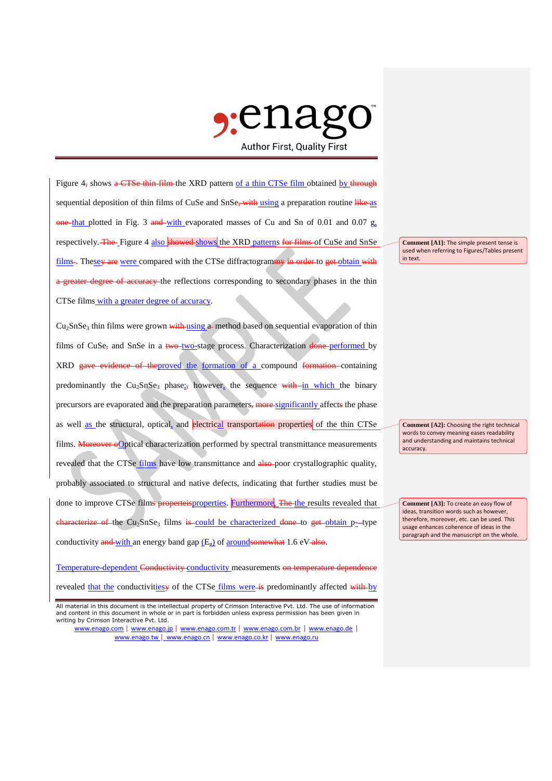

Figure 4, shows a CTSe thin film the XRD pattern of a thin CTSe film obtained by through sequential deposition of thin films of CuSe and SnSe, with using a preparation routine like as  $\frac{1}{2}$  one-that plotted in Fig. 3 and with evaporated masses of Cu and Sn of 0.01 and 0.07 g, respectively. The Figure 4 also showed shows the XRD patterns for films of CuSe and SnSe films -. These<del>y are</del> were compared with the CTSe diffractogrammy in order to get obtain with a greater degree of accuracy the reflections corresponding to secondary phases in the thin CTSe films with a greater degree of accuracy.

 $Cu<sub>2</sub>SnSe<sub>3</sub>$  thin films were grown with using a-method based on sequential evaporation of thin films of CuSe, and SnSe in a  $two$ -two-stage process. Characterization  $done$ -performed by XRD gave evidence of theproved the formation of a compound formation containing predominantly the Cu<sub>2</sub>SnSe<sub>3</sub> phase; however, the sequence with in which the binary precursors are evaporated and the preparation parameters, more significantly affects the phase as well as the structural, optical, and electrical transportation properties of the thin CTSe films. Moreover oOptical characterization performed by spectral transmittance measurements revealed that the CTSe films have low transmittance and also-poor crystallographic quality, probably associated to structural and native defects, indicating that further studies must be done to improve CTSe films properteisproperties. Furthermore, The the results revealed that  $\frac{1}{2}$  characterize of the Cu<sub>2</sub>SnSe<sub>3</sub> films is could be characterized done to get obtain p--type conductivity  $\frac{and\text{-}with}}{an\text{ energy band gap (Eg)}}$  of  $\frac{around\text{}}{s}$  of  $\frac{an\text{}}{an\text{ e}}$  1.6 eV-also.

Temperature-dependent Conductivity conductivity measurements on temperature dependence revealed that the conductivitiesy of the CTSe films were is predominantly affected with by

**Comment [A1]:** The simple present tense is used when referring to Figures/Tables present in text.

**Comment [A2]:** Choosing the right technical words to convey meaning eases readability and understanding and maintains technical accuracy.

**Comment [A3]:** To create an easy flow of ideas, transition words such as however, therefore, moreover, etc. can be used. This usage enhances coherence of ideas in the paragraph and the manuscript on the whole.

All material in this document is the intellectual property of Crimson Interactive Pvt. Ltd. The use of information and content in this document in whole or in part is forbidden unless express permission has been given in writing by Crimson Interactive Pvt. Ltd.

www.enago.com | www.enago.jp | www.enago.com.tr | www.enago.com.br | www.enago.de | www.enago.tw | www.enago.cn | www.enago.co.kr | www.enago.ru